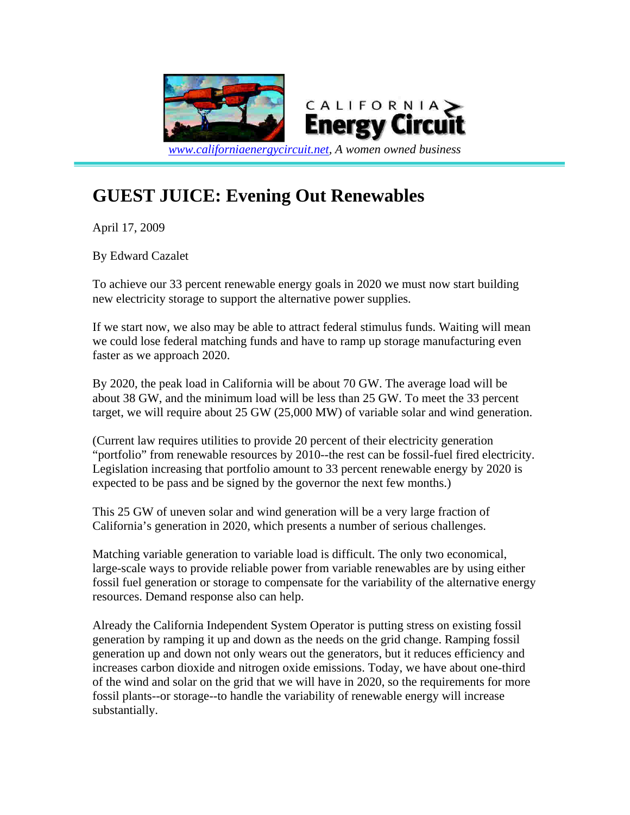

## **GUEST JUICE: Evening Out Renewables**

April 17, 2009

By Edward Cazalet

To achieve our 33 percent renewable energy goals in 2020 we must now start building new electricity storage to support the alternative power supplies.

If we start now, we also may be able to attract federal stimulus funds. Waiting will mean we could lose federal matching funds and have to ramp up storage manufacturing even faster as we approach 2020.

By 2020, the peak load in California will be about 70 GW. The average load will be about 38 GW, and the minimum load will be less than 25 GW. To meet the 33 percent target, we will require about 25 GW (25,000 MW) of variable solar and wind generation.

(Current law requires utilities to provide 20 percent of their electricity generation "portfolio" from renewable resources by 2010--the rest can be fossil-fuel fired electricity. Legislation increasing that portfolio amount to 33 percent renewable energy by 2020 is expected to be pass and be signed by the governor the next few months.)

This 25 GW of uneven solar and wind generation will be a very large fraction of California's generation in 2020, which presents a number of serious challenges.

Matching variable generation to variable load is difficult. The only two economical, large-scale ways to provide reliable power from variable renewables are by using either fossil fuel generation or storage to compensate for the variability of the alternative energy resources. Demand response also can help.

Already the California Independent System Operator is putting stress on existing fossil generation by ramping it up and down as the needs on the grid change. Ramping fossil generation up and down not only wears out the generators, but it reduces efficiency and increases carbon dioxide and nitrogen oxide emissions. Today, we have about one-third of the wind and solar on the grid that we will have in 2020, so the requirements for more fossil plants--or storage--to handle the variability of renewable energy will increase substantially.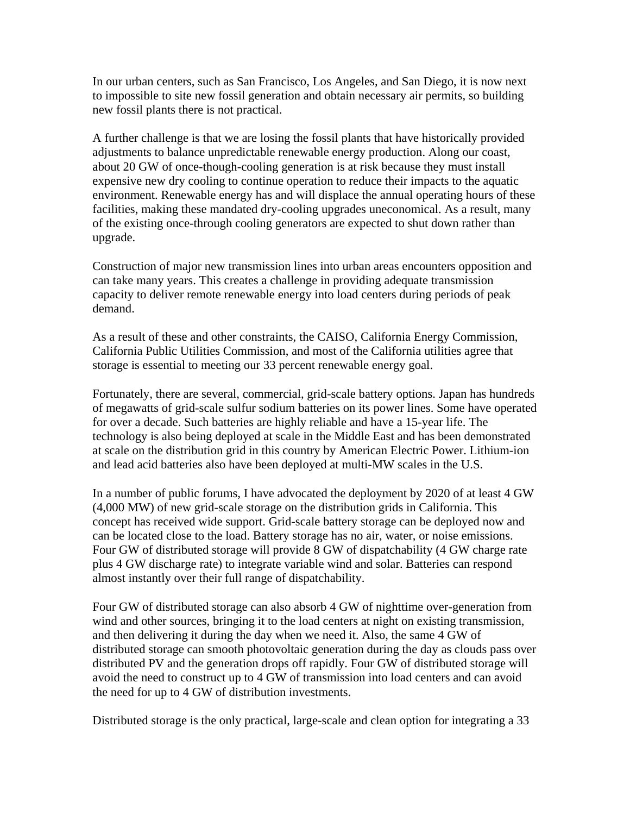In our urban centers, such as San Francisco, Los Angeles, and San Diego, it is now next to impossible to site new fossil generation and obtain necessary air permits, so building new fossil plants there is not practical.

A further challenge is that we are losing the fossil plants that have historically provided adjustments to balance unpredictable renewable energy production. Along our coast, about 20 GW of once-though-cooling generation is at risk because they must install expensive new dry cooling to continue operation to reduce their impacts to the aquatic environment. Renewable energy has and will displace the annual operating hours of these facilities, making these mandated dry-cooling upgrades uneconomical. As a result, many of the existing once-through cooling generators are expected to shut down rather than upgrade.

Construction of major new transmission lines into urban areas encounters opposition and can take many years. This creates a challenge in providing adequate transmission capacity to deliver remote renewable energy into load centers during periods of peak demand.

As a result of these and other constraints, the CAISO, California Energy Commission, California Public Utilities Commission, and most of the California utilities agree that storage is essential to meeting our 33 percent renewable energy goal.

Fortunately, there are several, commercial, grid-scale battery options. Japan has hundreds of megawatts of grid-scale sulfur sodium batteries on its power lines. Some have operated for over a decade. Such batteries are highly reliable and have a 15-year life. The technology is also being deployed at scale in the Middle East and has been demonstrated at scale on the distribution grid in this country by American Electric Power. Lithium-ion and lead acid batteries also have been deployed at multi-MW scales in the U.S.

In a number of public forums, I have advocated the deployment by 2020 of at least 4 GW (4,000 MW) of new grid-scale storage on the distribution grids in California. This concept has received wide support. Grid-scale battery storage can be deployed now and can be located close to the load. Battery storage has no air, water, or noise emissions. Four GW of distributed storage will provide 8 GW of dispatchability (4 GW charge rate plus 4 GW discharge rate) to integrate variable wind and solar. Batteries can respond almost instantly over their full range of dispatchability.

Four GW of distributed storage can also absorb 4 GW of nighttime over-generation from wind and other sources, bringing it to the load centers at night on existing transmission, and then delivering it during the day when we need it. Also, the same 4 GW of distributed storage can smooth photovoltaic generation during the day as clouds pass over distributed PV and the generation drops off rapidly. Four GW of distributed storage will avoid the need to construct up to 4 GW of transmission into load centers and can avoid the need for up to 4 GW of distribution investments.

Distributed storage is the only practical, large-scale and clean option for integrating a 33